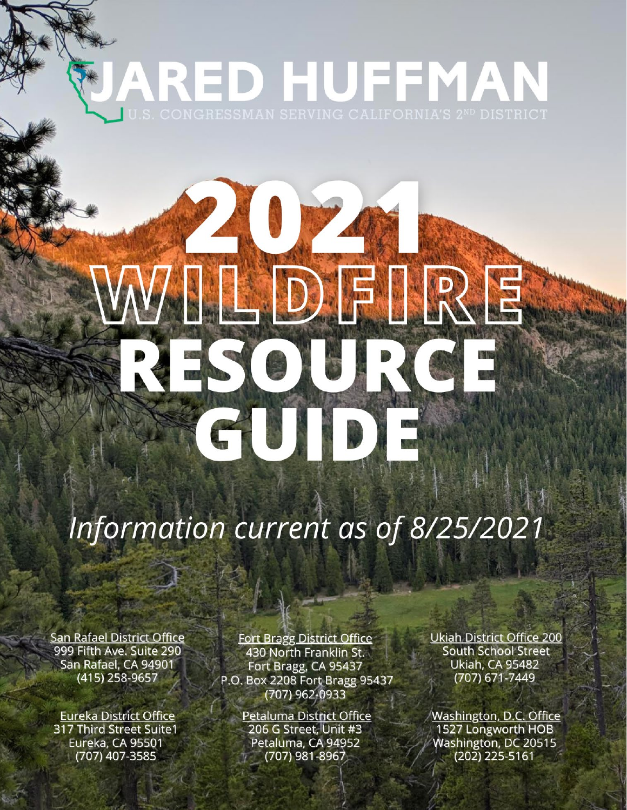# ARED HUFFMAN

Matter College B Matter College

ESOURC

EUIDE

VAIDFIRE

# Information current as of 8/25/2021

**San Rafael District Office** 999 Fifth Ave. Suite 290 San Rafael, CA 94901 (415) 258-9657

**Eureka District Office** 317 Third Street Suite1 Eureka, CA 95501 (707) 407-3585

**Fort Bragg District Office** 430 North Franklin St. Fort Bragg, CA 95437 P.O. Box 2208 Fort Bragg 95437 (707) 962-0933

> Petaluma District Office 206 G Street, Unit #3 Petaluma, CA 94952 (707) 981-8967

**Ukiah District Office 200 South School Street Ukiah, CA 95482** (707) 671-7449

Washington, D.C. Office 1527 Longworth HOB Washington, DC 20515  $(202)$  225-5161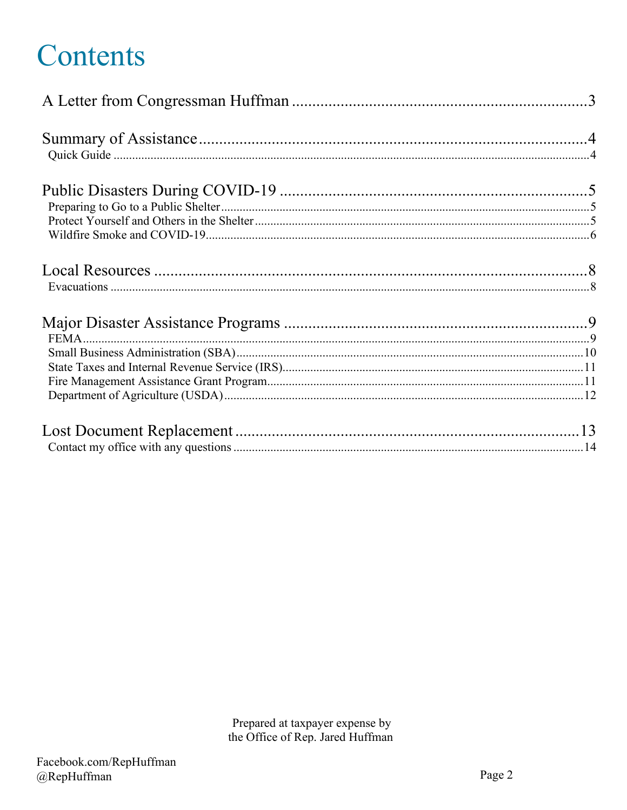# Contents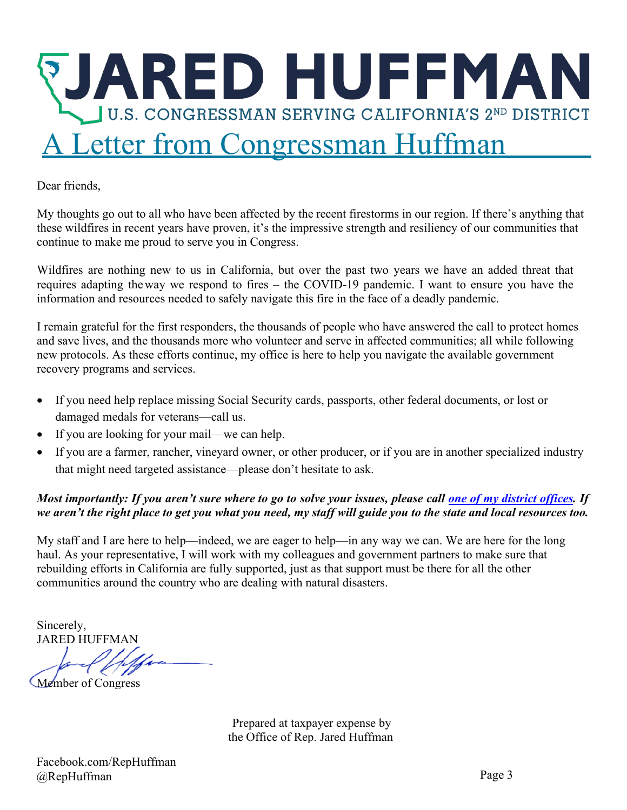

<span id="page-2-0"></span>Dear friends,

My thoughts go out to all who have been affected by the recent firestorms in our region. If there's anything that these wildfires in recent years have proven, it's the impressive strength and resiliency of our communities that continue to make me proud to serve you in Congress.

Wildfires are nothing new to us in California, but over the past two years we have an added threat that requires adapting theway we respond to fires – the COVID-19 pandemic. I want to ensure you have the information and resources needed to safely navigate this fire in the face of a deadly pandemic.

I remain grateful for the first responders, the thousands of people who have answered the call to protect homes and save lives, and the thousands more who volunteer and serve in affected communities; all while following new protocols. As these efforts continue, my office is here to help you navigate the available government recovery programs and services.

- If you need help replace missing Social Security cards, passports, other federal documents, or lost or damaged medals for veterans—call us.
- If you are looking for your mail—we can help.
- If you are a farmer, rancher, vineyard owner, or other producer, or if you are in another specialized industry that might need targeted assistance—please don't hesitate to ask.

#### Most importantly: If you aren't sure where to go to solve your issues, please call one of my district [offices.](https://huffman.house.gov/contact/offices) If we aren't the right place to get you what you need, my staff will guide you to the state and local resources too.

My staff and I are here to help—indeed, we are eager to help—in any way we can. We are here for the long haul. As your representative, I will work with my colleagues and government partners to make sure that rebuilding efforts in California are fully supported, just as that support must be there for all the other communities around the country who are dealing with natural disasters.

Sincerely, JARED HUFFMAN

Member of Congress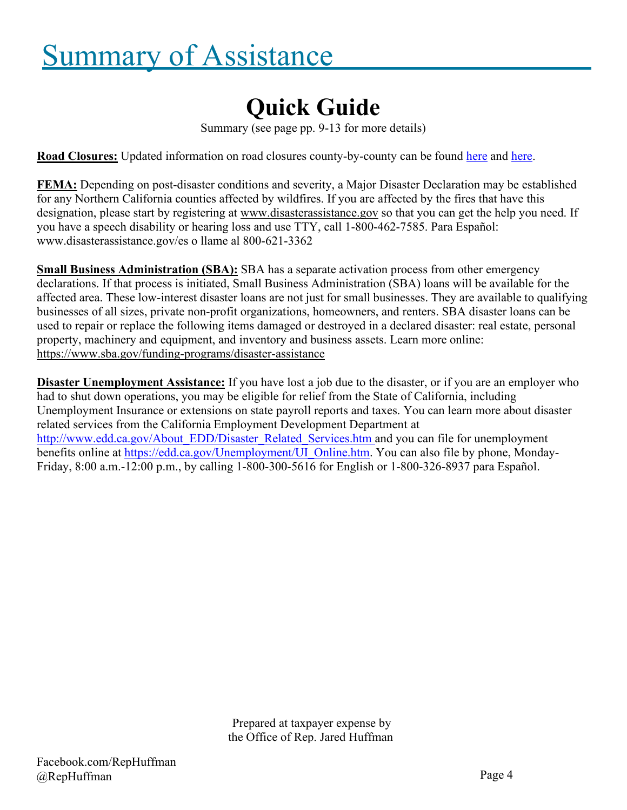# <span id="page-3-1"></span><span id="page-3-0"></span>Summary of Assistance

### **Quick Guide**

Summary (see page pp. 9-13 for more details)

**Road Closures:** Updated information on road closures county-by-county can be found [here](https://511.org/alerts/critical) and [here.](https://roads.dot.ca.gov/)

**FEMA:** Depending on post-disaster conditions and severity, a Major Disaster Declaration may be established for any Northern California counties affected by wildfires. If you are affected by the fires that have this designation, please start by registering at [www.disasterassistance.gov](http://www.disasterassistance.gov/) so that you can get the help you need. If you have a speech disability or hearing loss and use TTY, call 1-800-462-7585. Para Español: [www.disasterassistance.gov/es o](http://www.disasterassistance.gov/es) llame al 800-621-3362

**Small Business Administration (SBA):** SBA has a separate activation process from other emergency declarations. If that process is initiated, Small Business Administration (SBA) loans will be available for the affected area. These low-interest disaster loans are not just for small businesses. They are available to qualifying businesses of all sizes, private non-profit organizations, homeowners, and renters. SBA disaster loans can be used to repair or replace the following items damaged or destroyed in a declared disaster: real estate, personal property, machinery and equipment, and inventory and business assets. Learn more online: <https://www.sba.gov/funding-programs/disaster-assistance>

**Disaster Unemployment Assistance:** If you have lost a job due to the disaster, or if you are an employer who had to shut down operations, you may be eligible for relief from the State of California, including Unemployment Insurance or extensions on state payroll reports and taxes. You can learn more about disaster related services from the California Employment Development Department at [http://www.edd.ca.gov/About\\_EDD/Disaster\\_Related\\_Services.htm a](http://www.edd.ca.gov/About_EDD/Disaster_Related_Services.htm)nd you can file for unemployment benefits online at [https://edd.ca.gov/Unemployment/UI\\_Online.htm.](https://edd.ca.gov/Unemployment/UI_Online.htm) You can also file by phone, Monday-Friday, 8:00 a.m.-12:00 p.m., by calling 1-800-300-5616 for English or 1-800-326-8937 para Español.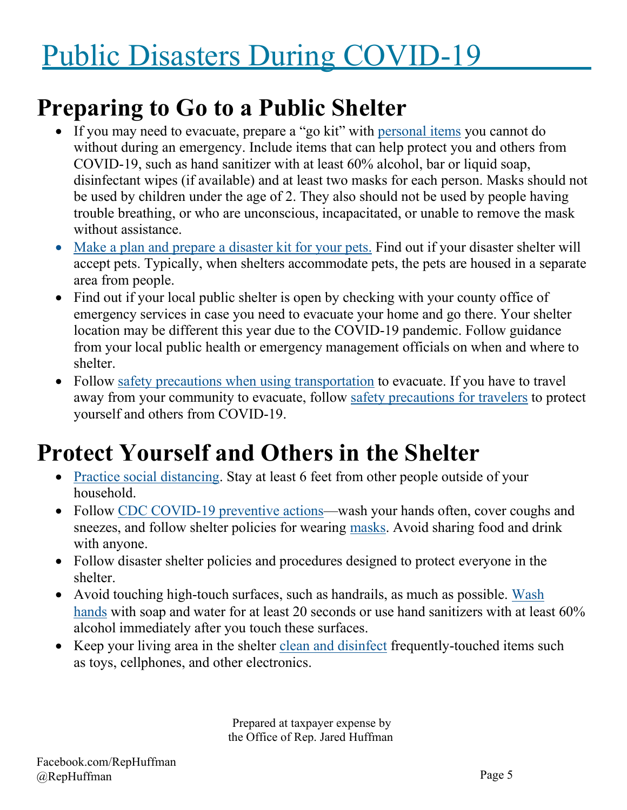# <span id="page-4-0"></span>Public Disasters During COVID-19

### <span id="page-4-1"></span>**Preparing to Go to a Public Shelter**

- If you may need to evacuate, prepare a "go kit" with [personal items](https://www.cdc.gov/cpr/prepareyourhealth/PersonalNeeds.htm) you cannot do without during an emergency. Include items that can help protect you and others from COVID-19, such as hand sanitizer with at least 60% alcohol, bar or liquid soap, disinfectant wipes (if available) and at least two masks for each person. Masks should not be used by children under the age of 2. They also should not be used by people having trouble breathing, or who are unconscious, incapacitated, or unable to remove the mask without assistance.
- [Make a plan and prepare a disaster kit for your pets.](https://www.cdc.gov/healthypets/emergencies/index.html) Find out if your disaster shelter will accept pets. Typically, when shelters accommodate pets, the pets are housed in a separate area from people.
- Find out if your local public shelter is open by checking with your county office of emergency services in case you need to evacuate your home and go there. Your shelter location may be different this year due to the COVID-19 pandemic. Follow guidance from your local public health or emergency management officials on when and where to shelter.
- Follow [safety precautions when using transportation](https://www.cdc.gov/coronavirus/2019-ncov/daily-life-coping/using-transportation.html) to evacuate. If you have to travel away from your community to evacuate, follow [safety precautions for travelers](https://www.cdc.gov/coronavirus/2019-ncov/travelers/travel-during-covid19.html) to protect yourself and others from COVID-19.

## <span id="page-4-2"></span>**Protect Yourself and Others in the Shelter**

- [Practice social distancing.](https://www.cdc.gov/coronavirus/2019-ncov/prevent-getting-sick/social-distancing.html) Stay at least 6 feet from other people outside of your household.
- Follow [CDC COVID-19 preventive actions—](https://www.cdc.gov/coronavirus/2019-ncov/prevent-getting-sick/prevention.html)wash your hands often, cover coughs and sneezes, and follow shelter policies for wearing [masks.](https://www.cdc.gov/coronavirus/2019-ncov/prevent-getting-sick/diy-cloth-face-coverings.html) Avoid sharing food and drink with anyone.
- Follow disaster shelter policies and procedures designed to protect everyone in the shelter.
- Avoid touching high-touch surfaces, such as handrails, as much as possible. [Wash](https://www.cdc.gov/handwashing/when-how-handwashing.html) [hands](https://www.cdc.gov/handwashing/when-how-handwashing.html) with soap and water for at least 20 seconds or use hand sanitizers with at least 60% alcohol immediately after you touch these surfaces.
- Keep your living area in the shelter [clean and disinfect](https://www.cdc.gov/coronavirus/2019-ncov/prevent-getting-sick/disinfecting-your-home.html) frequently-touched items such as toys, cellphones, and other electronics.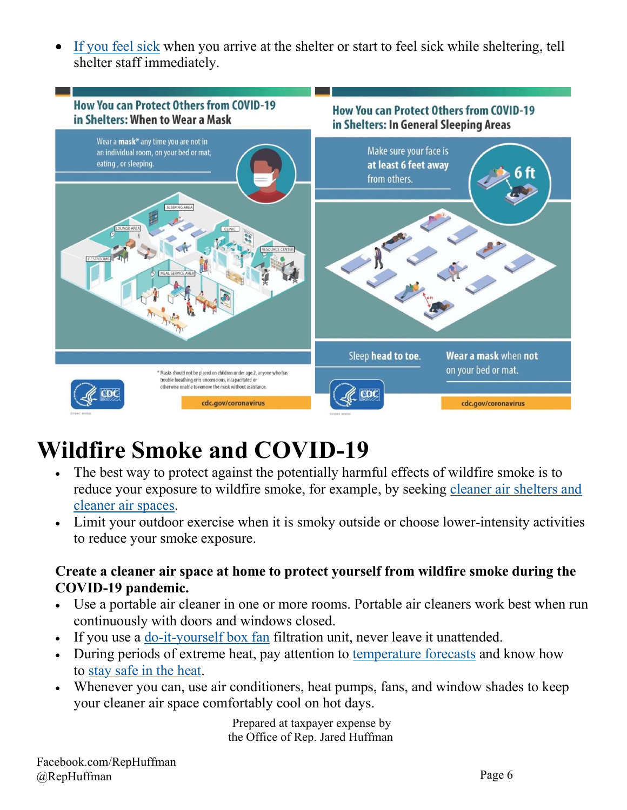• [If you feel sick](https://www.cdc.gov/coronavirus/2019-ncov/symptoms-testing/symptoms.html) when you arrive at the shelter or start to feel sick while sheltering, tell shelter staff immediately.



## <span id="page-5-0"></span>**Wildfire Smoke and COVID-19**

- The best way to protect against the potentially harmful effects of wildfire smoke is to reduce your exposure to wildfire smoke, for example, by seeking [cleaner air shelters and](https://www.cdc.gov/disasters/covid-19/wildfire_smoke_covid-19.html) [cleaner](https://www.cdc.gov/coronavirus/2019-ncov/php/cleaner-air-shelters.html) air spaces.
- Limit your outdoor exercise when it is smoky outside or choose lower-intensity activities to reduce your smoke exposure.

#### **Create a cleaner air space at home to protect yourself from wildfire smoke during the COVID-19 pandemic.**

- Use a portable air cleaner in one or more rooms. Portable air cleaners work best when run continuously with doors and windows closed.
- If you use a [do-it-yourself](https://www.youtube.com/watch?v=ukyF2xm8cws&feature=youtu.be) box fan filtration unit, never leave it unattended.
- During periods of extreme heat, pay attention to [temperature forecasts](https://www.weather.gov/forecastmaps) and know how to stay safe [in the heat.](https://www.cdc.gov/disasters/extremeheat/index.html)
- Whenever you can, use air conditioners, heat pumps, fans, and window shades to keep your cleaner air space comfortably cool on hot days.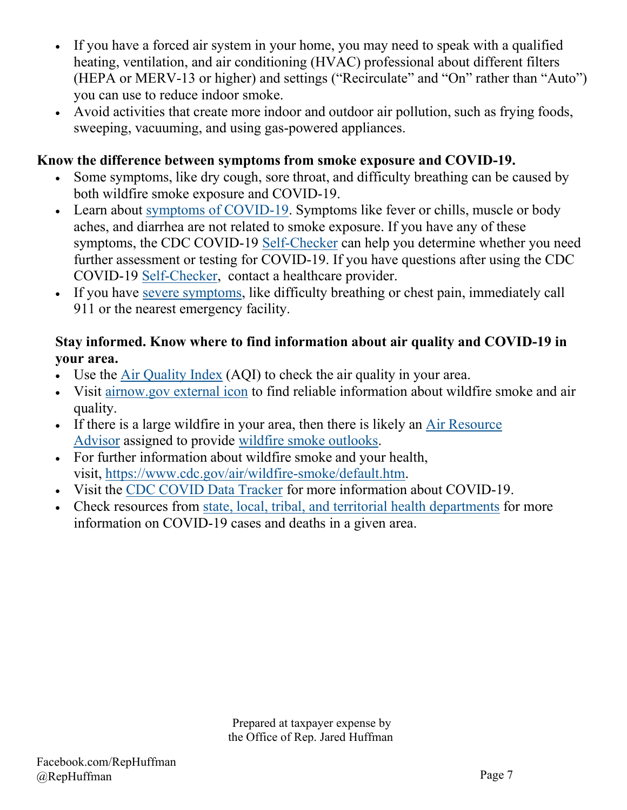- If you have a forced air system in your home, you may need to speak with a qualified heating, ventilation, and air conditioning (HVAC) professional about different filters (HEPA or MERV-13 or higher) and settings ("Recirculate" and "On" rather than "Auto") you can use to reduce indoor smoke.
- Avoid activities that create more indoor and outdoor air pollution, such as frying foods, sweeping, vacuuming, and using gas-powered appliances.

#### **Know the difference between symptoms from smoke exposure and COVID-19.**

- Some symptoms, like dry cough, sore throat, and difficulty breathing can be caused by both wildfire smoke exposure and COVID-19.
- Learn about [symptoms of COVID-19.](https://www.cdc.gov/coronavirus/2019-ncov/symptoms-testing/symptoms.html) Symptoms like fever or chills, muscle or body aches, and diarrhea are not related to smoke exposure. If you have any of these symptoms, the CDC COVID-19 [Self-Checker](https://www.cdc.gov/coronavirus/2019-ncov/symptoms-testing/coronavirus-self-checker.html) can help you determine whether you need further assessment or testing for COVID-19. If you have questions after using the CDC COVID-19 [Self-Checker,](https://www.cdc.gov/coronavirus/2019-ncov/symptoms-testing/coronavirus-self-checker.html) contact a healthcare provider.
- If you have [severe symptoms,](https://www.cdc.gov/coronavirus/2019-ncov/symptoms-testing/symptoms.html) like difficulty breathing or chest pain, immediately call 911 or the nearest emergency facility.

#### **Stay informed. Know where to find information about air quality and COVID-19 in your area.**

- Use the Air [Quality Index](https://www.airnow.gov/aqi/) (AQI) to check the air quality in your area.
- Visit [airnow.gov external icon](http://www.airnow.gov/) to find reliable information about wildfire smoke and air quality.
- If there is a large wildfire in your area, then there is likely an [Air Resource](http://www.wildlandfiresmoke.net/) [Advisor](http://www.wildlandfiresmoke.net/) assigned to provide wildfire smoke [outlooks.](https://wildlandfiresmoke.net/outlooks)
- For further information about wildfire smoke and your health, visit, [https://www.cdc.gov/air/wildfire-smoke/default.htm.](https://www.cdc.gov/air/wildfire-smoke/default.htm)
- Visit the CDC [COVID](https://www.cdc.gov/covid-data-tracker/index.html) Data Tracker for more information about COVID-19.
- Check resources from [state, local, tribal, and territorial health departments](https://www.cdc.gov/coronavirus/2019-ncov/cases-updates/cases-in-us.html) for more information on COVID-19 cases and deaths in a given area.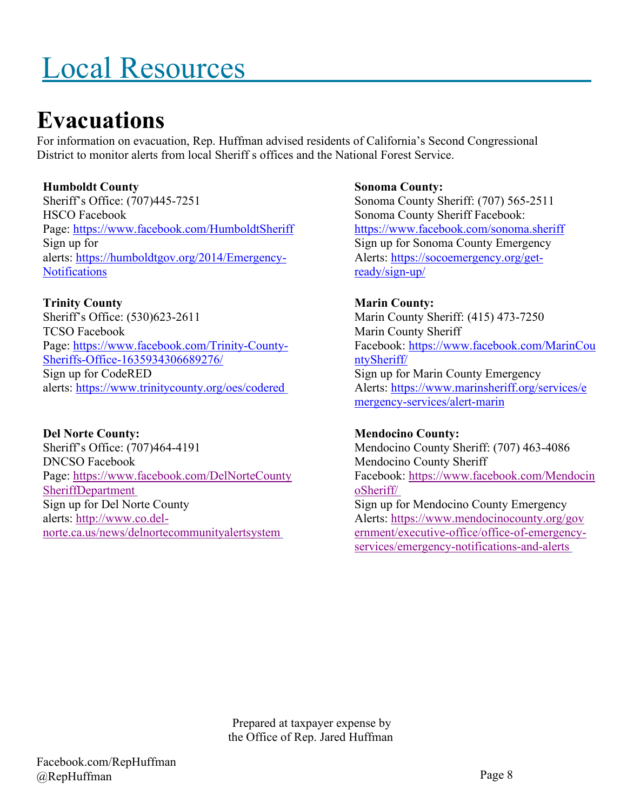# <span id="page-7-0"></span>Local Resources

### <span id="page-7-1"></span>**Evacuations**

For information on evacuation, Rep. Huffman advised residents of California's Second Congressional District to monitor alerts from local Sheriff s offices and the National Forest Service.

#### **Humboldt County**

Sheriff's Office: (707)445-7251 HSCO Facebook Page: <https://www.facebook.com/HumboldtSheriff> Sign up for alerts: [https://humboldtgov.org/2014/Emergency-](https://humboldtgov.org/2014/Emergency-Notifications)**[Notifications](https://humboldtgov.org/2014/Emergency-Notifications)** 

#### **Trinity County**

Sheriff's Office: (530)623-2611 TCSO Facebook Page: [https://www.facebook.com/Trinity-County-](https://www.facebook.com/Trinity-County-Sheriffs-Office-1635934306689276/)[Sheriffs-Office-1635934306689276/](https://www.facebook.com/Trinity-County-Sheriffs-Office-1635934306689276/) Sign up for CodeRED alerts: <https://www.trinitycounty.org/oes/codered>

**Del Norte County:** Sheriff's Office: (707)464-4191 DNCSO Facebook Page: [https://www.facebook.com/DelNorteCounty](https://www.facebook.com/DelNorteCountySheriffDepartment) [SheriffDepartment](https://www.facebook.com/DelNorteCountySheriffDepartment) Sign up for Del Norte County alerts: [http://www.co.del](http://www.co.del-norte.ca.us/news/delnortecommunityalertsystem)[norte.ca.us/news/delnortecommunityalertsystem](http://www.co.del-norte.ca.us/news/delnortecommunityalertsystem)

**Sonoma County:** Sonoma County Sheriff: (707) 565-2511 Sonoma County Sheriff Facebook: <https://www.facebook.com/sonoma.sheriff> Sign up for Sonoma County Emergency Alerts: [https://socoemergency.org/get](https://socoemergency.org/get-ready/sign-up/)[ready/sign-up/](https://socoemergency.org/get-ready/sign-up/)

#### **Marin County:**

Marin County Sheriff: (415) 473-7250 Marin County Sheriff Facebook: [https://www.facebook.com/MarinCou](https://www.facebook.com/MarinCountySheriff/) [ntySheriff/](https://www.facebook.com/MarinCountySheriff/) Sign up for Marin County Emergency Alerts: [https://www.marinsheriff.org/services/e](https://www.marinsheriff.org/services/emergency-services/alert-marin) [mergency-services/alert-marin](https://www.marinsheriff.org/services/emergency-services/alert-marin)

#### **Mendocino County:**

Mendocino County Sheriff: (707) 463-4086 Mendocino County Sheriff Facebook: [https://www.facebook.com/Mendocin](https://www.facebook.com/MendocinoSheriff/) [oSheriff/](https://www.facebook.com/MendocinoSheriff/) Sign up for Mendocino County Emergency Alerts: [https://www.mendocinocounty.org/gov](https://www.mendocinocounty.org/government/executive-office/office-of-emergency-services/emergency-notifications-and-alerts) [ernment/executive-office/office-of-emergency](https://www.mendocinocounty.org/government/executive-office/office-of-emergency-services/emergency-notifications-and-alerts)[services/emergency-notifications-and-alerts](https://www.mendocinocounty.org/government/executive-office/office-of-emergency-services/emergency-notifications-and-alerts)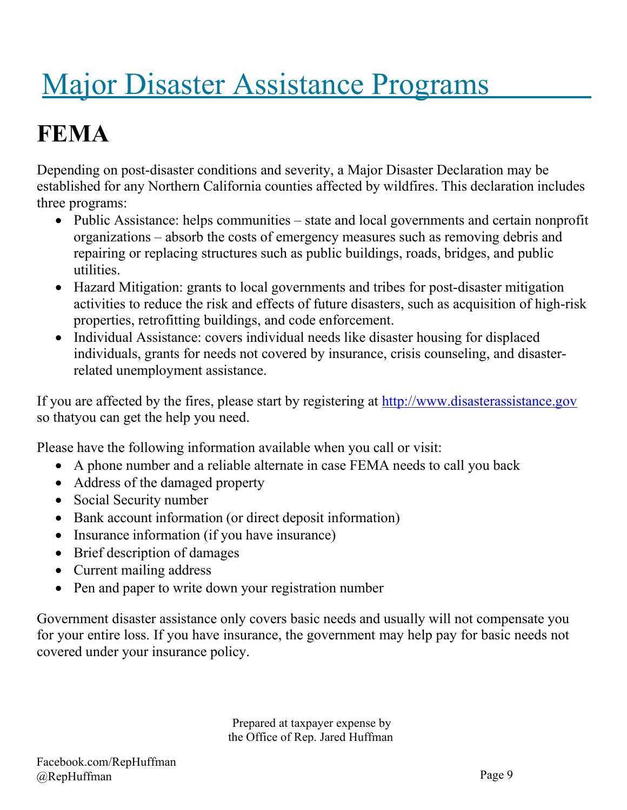# <span id="page-8-0"></span>Major Disaster Assistance Programs

# <span id="page-8-1"></span>**FEMA**

Depending on post-disaster conditions and severity, a Major Disaster Declaration may be established for any Northern California counties affected by wildfires. This declaration includes three programs:

- Public Assistance: helps communities state and local governments and certain nonprofit organizations – absorb the costs of emergency measures such as removing debris and repairing or replacing structures such as public buildings, roads, bridges, and public utilities.
- Hazard Mitigation: grants to local governments and tribes for post-disaster mitigation activities to reduce the risk and effects of future disasters, such as acquisition of high-risk properties, retrofitting buildings, and code enforcement.
- Individual Assistance: covers individual needs like disaster housing for displaced individuals, grants for needs not covered by insurance, crisis counseling, and disasterrelated unemployment assistance.

If you are affected by the fires, please start by registering at [http://www.disasterassistance.gov](http://www.disasterassistance.gov/) so thatyou can get the help you need.

Please have the following information available when you call or visit:

- A phone number and a reliable alternate in case FEMA needs to call you back
- Address of the damaged property
- Social Security number
- Bank account information (or direct deposit information)
- Insurance information (if you have insurance)
- Brief description of damages
- Current mailing address
- Pen and paper to write down your registration number

Government disaster assistance only covers basic needs and usually will not compensate you for your entire loss. If you have insurance, the government may help pay for basic needs not covered under your insurance policy.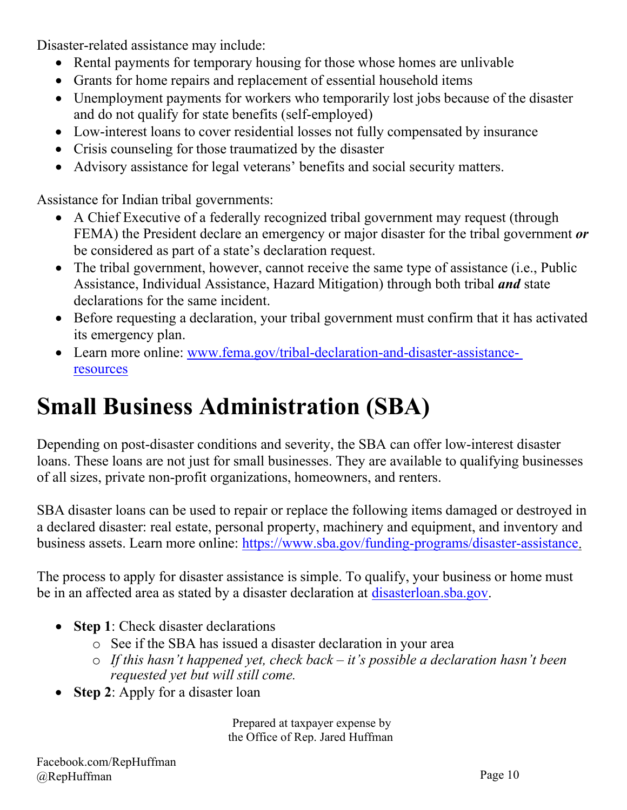Disaster-related assistance may include:

- Rental payments for temporary housing for those whose homes are unlivable
- Grants for home repairs and replacement of essential household items
- Unemployment payments for workers who temporarily lost jobs because of the disaster and do not qualify for state benefits (self-employed)
- Low-interest loans to cover residential losses not fully compensated by insurance
- Crisis counseling for those traumatized by the disaster
- Advisory assistance for legal veterans' benefits and social security matters.

Assistance for Indian tribal governments:

- A Chief Executive of a federally recognized tribal government may request (through FEMA) the President declare an emergency or major disaster for the tribal government *or* be considered as part of a state's declaration request.
- The tribal government, however, cannot receive the same type of assistance (i.e., Public Assistance, Individual Assistance, Hazard Mitigation) through both tribal *and* state declarations for the same incident.
- Before requesting a declaration, your tribal government must confirm that it has activated its emergency plan.
- Learn more online: www.fema.gov/tribal-declaration-and-disaster-assistance[resources](https://www.fema.gov/tribal-declaration-and-disaster-assistance-resources)

# <span id="page-9-0"></span>**Small Business Administration (SBA)**

Depending on post-disaster conditions and severity, the SBA can offer low-interest disaster loans. These loans are not just for small businesses. They are available to qualifying businesses of all sizes, private non-profit organizations, homeowners, and renters.

SBA disaster loans can be used to repair or replace the following items damaged or destroyed in a declared disaster: real estate, personal property, machinery and equipment, and inventory and business assets. Learn more online: [https://www.sba.gov/funding-programs/disaster-assistance.](https://www.sba.gov/funding-programs/disaster-assistance)

The process to apply for disaster assistance is simple. To qualify, your business or home must be in an affected area as stated by a disaster declaration at [disasterloan.sba.gov.](https://disasterloanassistance.sba.gov/ela/s/)

- **Step 1**: Check disaster declarations
	- o See if the SBA has issued a disaster declaration in your area
	- o *If this hasn't happened yet, check back – it's possible a declaration hasn't been requested yet but will still come.*
- **Step 2**: Apply for a disaster loan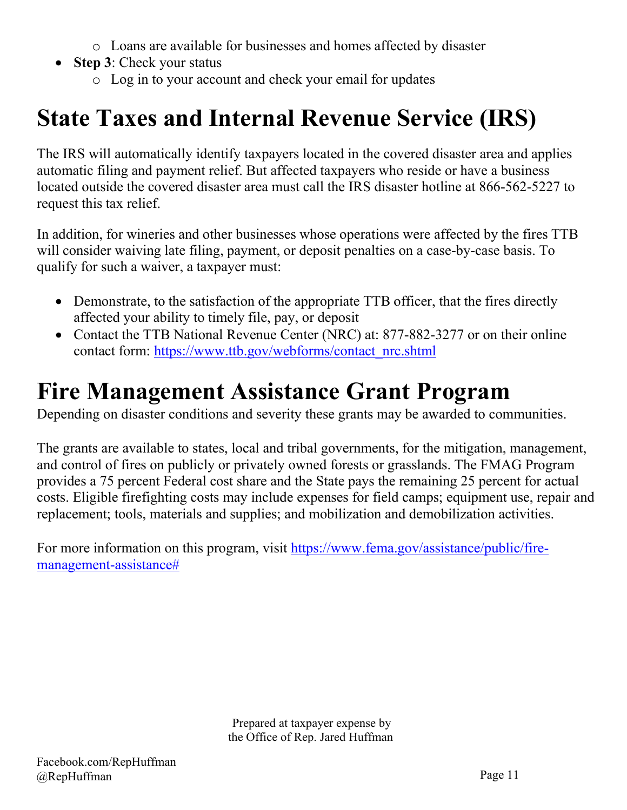- o Loans are available for businesses and homes affected by disaster
- **Step 3**: Check your status
	- o Log in to your account and check your email for updates

# <span id="page-10-0"></span>**State Taxes and Internal Revenue Service (IRS)**

The IRS will automatically identify taxpayers located in the covered disaster area and applies automatic filing and payment relief. But affected taxpayers who reside or have a business located outside the covered disaster area must call the IRS disaster hotline at 866-562-5227 to request this tax relief.

In addition, for wineries and other businesses whose operations were affected by the fires TTB will consider waiving late filing, payment, or deposit penalties on a case-by-case basis. To qualify for such a waiver, a taxpayer must:

- Demonstrate, to the satisfaction of the appropriate TTB officer, that the fires directly affected your ability to timely file, pay, or deposit
- Contact the TTB National Revenue Center (NRC) at: 877-882-3277 or on their online contact form: [https://www.ttb.gov/webforms/contact\\_nrc.shtml](https://www.ttb.gov/webforms/contact_nrc.shtml)

## <span id="page-10-1"></span>**Fire Management Assistance Grant Program**

Depending on disaster conditions and severity these grants may be awarded to communities.

The grants are available to states, local and tribal governments, for the mitigation, management, and control of fires on publicly or privately owned forests or grasslands. The FMAG Program provides a 75 percent Federal cost share and the State pays the remaining 25 percent for actual costs. Eligible firefighting costs may include expenses for field camps; equipment use, repair and replacement; tools, materials and supplies; and mobilization and demobilization activities.

For more information on this program, visit [https://www.fema.gov/assistance/public/fire](https://www.fema.gov/assistance/public/fire-management-assistance)[management-assistance#](https://www.fema.gov/assistance/public/fire-management-assistance)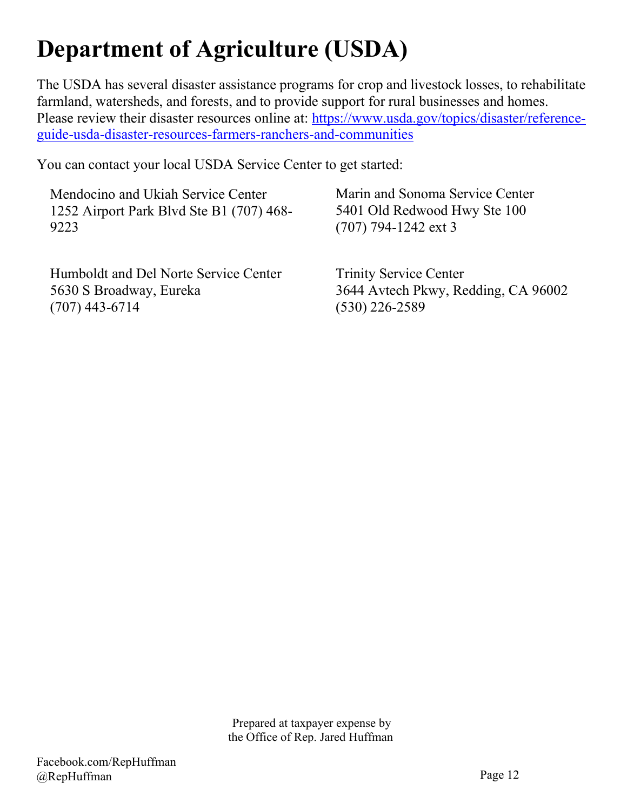# <span id="page-11-0"></span>**Department of Agriculture (USDA)**

The USDA has several disaster assistance programs for crop and livestock losses, to rehabilitate farmland, watersheds, and forests, and to provide support for rural businesses and homes. Please review their disaster resources online at: [https://www.usda.gov/topics/disaster/reference](https://www.usda.gov/topics/disaster/reference-%20guide-usda-disaster-resources-farmers-ranchers-and-communities)[guide-usda-disaster-resources-farmers-ranchers-and-communities](https://www.usda.gov/topics/disaster/reference-%20guide-usda-disaster-resources-farmers-ranchers-and-communities)

You can contact your local USDA Service Center to get started:

Mendocino and Ukiah Service Center 1252 Airport Park Blvd Ste B1 (707) 468- 9223

Humboldt and Del Norte Service Center 5630 S Broadway, Eureka (707) 443-6714

Marin and Sonoma Service Center 5401 Old Redwood Hwy Ste 100 (707) 794-1242 ext 3

Trinity Service Center 3644 Avtech Pkwy, Redding, CA 96002 (530) 226-2589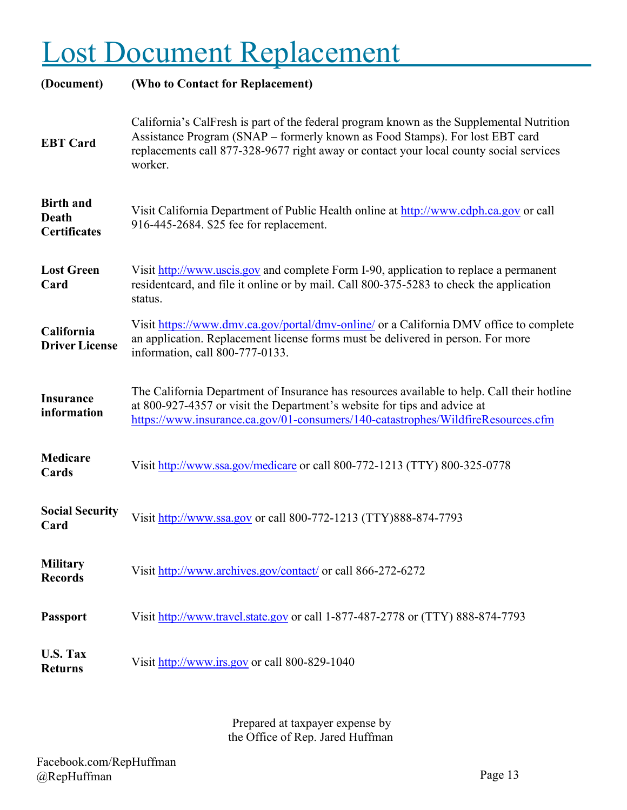# <span id="page-12-0"></span>Lost Document Replacement

| (Document)                                       | (Who to Contact for Replacement)                                                                                                                                                                                                                                              |
|--------------------------------------------------|-------------------------------------------------------------------------------------------------------------------------------------------------------------------------------------------------------------------------------------------------------------------------------|
| <b>EBT</b> Card                                  | California's CalFresh is part of the federal program known as the Supplemental Nutrition<br>Assistance Program (SNAP – formerly known as Food Stamps). For lost EBT card<br>replacements call 877-328-9677 right away or contact your local county social services<br>worker. |
| <b>Birth and</b><br>Death<br><b>Certificates</b> | Visit California Department of Public Health online at http://www.cdph.ca.gov or call<br>916-445-2684. \$25 fee for replacement.                                                                                                                                              |
| <b>Lost Green</b><br>Card                        | Visit http://www.uscis.gov and complete Form I-90, application to replace a permanent<br>resident card, and file it online or by mail. Call 800-375-5283 to check the application<br>status.                                                                                  |
| California<br><b>Driver License</b>              | Visit https://www.dmv.ca.gov/portal/dmv-online/ or a California DMV office to complete<br>an application. Replacement license forms must be delivered in person. For more<br>information, call 800-777-0133.                                                                  |
| <b>Insurance</b><br>information                  | The California Department of Insurance has resources available to help. Call their hotline<br>at 800-927-4357 or visit the Department's website for tips and advice at<br>https://www.insurance.ca.gov/01-consumers/140-catastrophes/WildfireResources.cfm                    |
| <b>Medicare</b><br>Cards                         | Visit http://www.ssa.gov/medicare or call 800-772-1213 (TTY) 800-325-0778                                                                                                                                                                                                     |
| <b>Social Security</b><br>Card                   | Visit http://www.ssa.gov or call 800-772-1213 (TTY)888-874-7793                                                                                                                                                                                                               |
| <b>Military</b><br><b>Records</b>                | Visit http://www.archives.gov/contact/ or call 866-272-6272                                                                                                                                                                                                                   |
| <b>Passport</b>                                  | Visit http://www.travel.state.gov or call 1-877-487-2778 or (TTY) 888-874-7793                                                                                                                                                                                                |
| <b>U.S. Tax</b><br><b>Returns</b>                | Visit http://www.irs.gov or call 800-829-1040                                                                                                                                                                                                                                 |